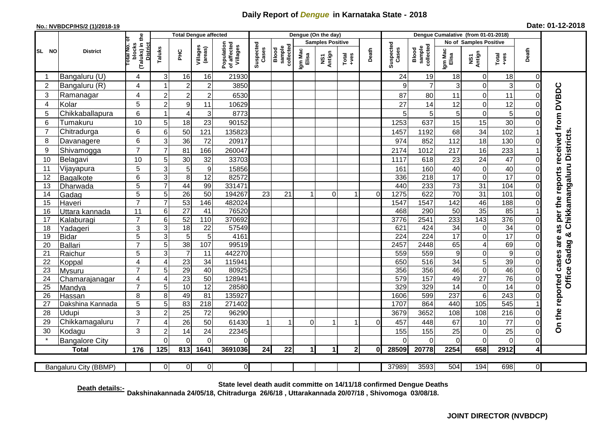## **Daily Report of** *Dengue* **in Karnataka State - 2018**

## **No.: NVBDCP/HS/2 (1)/2018-19 Date: 01-12-2018**

|                                                                                                                                                       | <b>District</b>          | (Taluks) in the<br>ō<br><b>Total No.</b><br>blocks<br><b>District</b> | <b>Total Dengue affected</b> |                       |                     |                                       | Dengue (On the day) |                              |                         |               |                  | Dengue Cumalative (from 01-01-2018) |                        |                                     |                  |                      |                  |                         |                                        |
|-------------------------------------------------------------------------------------------------------------------------------------------------------|--------------------------|-----------------------------------------------------------------------|------------------------------|-----------------------|---------------------|---------------------------------------|---------------------|------------------------------|-------------------------|---------------|------------------|-------------------------------------|------------------------|-------------------------------------|------------------|----------------------|------------------|-------------------------|----------------------------------------|
| SL NO                                                                                                                                                 |                          |                                                                       |                              |                       |                     |                                       |                     |                              | <b>Samples Positive</b> |               |                  |                                     | No of Samples Positive |                                     |                  |                      |                  |                         |                                        |
|                                                                                                                                                       |                          |                                                                       | Taluks                       | нc                    | Villages<br>(areas) | Population<br>of affected<br>Villages | Suspected<br>Cases  | sample<br>collected<br>Blood | Igm Mac<br>Elisa        | NS1<br>Antign | Total<br>$+ve$ s | Death                               | Suspected<br>Cases     | collected<br><b>Blood</b><br>sample | Igm Mac<br>Elisa | NS1<br>Antign        | $Tota$<br>$+ves$ | Death                   |                                        |
|                                                                                                                                                       | Bangaluru (U)            | 4                                                                     | 3                            | 16                    | 16                  | 21930                                 |                     |                              |                         |               |                  |                                     | 24                     | 19                                  | 18               | $\mathbf 0$          | 18               | 0                       |                                        |
| $\overline{2}$                                                                                                                                        | Bangaluru (R)            | 4                                                                     |                              | $\overline{c}$        | $\overline{c}$      | 3850                                  |                     |                              |                         |               |                  |                                     | 9                      | $\overline{7}$                      | 3                | 0                    | 3                | $\mathbf 0$             |                                        |
| 3                                                                                                                                                     | Ramanagar                | 4                                                                     | $\overline{2}$               | $\overline{2}$        | $\overline{c}$      | 6530                                  |                     |                              |                         |               |                  |                                     | 87                     | 80                                  | 11               | 0                    | 11               | $\Omega$                | as per the reports received from DVBDC |
| 4                                                                                                                                                     | Kolar                    | 5                                                                     | $\overline{c}$               | 9                     | 11                  | 10629                                 |                     |                              |                         |               |                  |                                     | 27                     | 14                                  | 12               | $\overline{0}$       | 12               | $\mathbf 0$             |                                        |
| 5                                                                                                                                                     | Chikkaballapura          | 6                                                                     |                              | $\overline{4}$        | 3                   | 8773                                  |                     |                              |                         |               |                  |                                     | 5                      | 5 <sup>1</sup>                      | 5                | 0                    | 5                | $\Omega$                |                                        |
| 6                                                                                                                                                     | Tumakuru                 | 10                                                                    | 5                            | 18                    | 23                  | 90152                                 |                     |                              |                         |               |                  |                                     | 1253                   | 637                                 | 15               | 15                   | 30               | $\Omega$                |                                        |
| 7                                                                                                                                                     | Chitradurga              | 6                                                                     | 6                            | 50                    | 121                 | 135823                                |                     |                              |                         |               |                  |                                     | 1457                   | 1192                                | 68               | 34                   | 102              |                         |                                        |
| 8                                                                                                                                                     | Davanagere               | 6                                                                     | 3                            | 36                    | 72                  | 20917                                 |                     |                              |                         |               |                  |                                     | 974                    | 852                                 | 112              | 18                   | 130              | $\Omega$                |                                        |
| 9                                                                                                                                                     | Shivamogga               | $\overline{7}$                                                        | $\overline{7}$               | 81                    | 166                 | 260047                                |                     |                              |                         |               |                  |                                     | 2174                   | 1012                                | 217              | 16                   | 233              |                         | Chikkamangaluru Districts              |
| 10                                                                                                                                                    | Belagavi                 | 10                                                                    | 5                            | $30\,$                | 32                  | 33703                                 |                     |                              |                         |               |                  |                                     | 1117                   | 618                                 | 23               | 24                   | 47               | $\Omega$                |                                        |
| 11                                                                                                                                                    | Vijayapura               | 5                                                                     | 3                            | 5                     | $\boldsymbol{9}$    | 15856                                 |                     |                              |                         |               |                  |                                     | 161                    | 160                                 | 40               | 0                    | 40               | $\mathbf 0$             |                                        |
| 12                                                                                                                                                    | Bagalkote                | 6                                                                     | 3                            | 8                     | $\overline{12}$     | 82572                                 |                     |                              |                         |               |                  |                                     | 336                    | 218                                 | $\overline{17}$  | $\overline{0}$       | 17               | $\mathbf 0$             |                                        |
| 13                                                                                                                                                    | Dharwada                 | 5                                                                     | 7                            | 44                    | 99                  | 331471                                |                     |                              |                         |               |                  |                                     | 440                    | 233                                 | $\overline{73}$  | $\overline{31}$      | 104              | $\Omega$                |                                        |
| 14                                                                                                                                                    | Gadag                    | $\overline{5}$                                                        | $\overline{5}$               | 26                    | 50                  | 194267                                | $\overline{23}$     | 21                           | $\overline{1}$          | $\Omega$      | 1                | $\Omega$                            | 1275                   | 622                                 | 70               | 31                   | 101              | $\overline{0}$          |                                        |
| 15                                                                                                                                                    | Haveri                   | $\overline{7}$                                                        | $\overline{7}$               | 53                    | 146                 | 482024                                |                     |                              |                         |               |                  |                                     | 1547                   | 1547                                | $\overline{142}$ | 46                   | 188              | $\Omega$                |                                        |
| 16                                                                                                                                                    | Uttara kannada           | 11                                                                    | 6                            | 27                    | 41                  | 76520                                 |                     |                              |                         |               |                  |                                     | 468                    | 290                                 | 50               | 35                   | 85               |                         |                                        |
| 17                                                                                                                                                    | Kalaburagi               | $\overline{7}$                                                        | 6                            | 52                    | 110                 | 370692                                |                     |                              |                         |               |                  |                                     | 3776                   | 2541                                | 233              | 143                  | 376              | $\Omega$                |                                        |
| 18                                                                                                                                                    | Yadageri                 | 3                                                                     | 3                            | 18                    | 22                  | 57549                                 |                     |                              |                         |               |                  |                                     | 621                    | 424                                 | 34               | 0                    | 34               | $\Omega$                |                                        |
| 19                                                                                                                                                    | <b>Bidar</b>             | 5                                                                     | 3                            | $\sqrt{5}$            | 5                   | 4161                                  |                     |                              |                         |               |                  |                                     | 224                    | $\overline{224}$                    | $\overline{17}$  | 0                    | 17               | $\Omega$                | త<br>are                               |
| 20                                                                                                                                                    | Ballari                  | $\overline{7}$                                                        | 5                            | 38                    | 107                 | 99519                                 |                     |                              |                         |               |                  |                                     | 2457                   | 2448                                | 65               | 4                    | 69               | $\Omega$                | Gadag                                  |
| 21                                                                                                                                                    | Raichur                  | $\overline{5}$                                                        | 3                            |                       | 11                  | 442270                                |                     |                              |                         |               |                  |                                     | 559                    | 559                                 | $\boldsymbol{9}$ | $\overline{0}$       | $\overline{9}$   | $\Omega$                |                                        |
| 22                                                                                                                                                    | Koppal                   | 4<br>$\overline{7}$                                                   | $\overline{4}$<br>5          | $\overline{23}$<br>29 | $\overline{34}$     | 115941<br>80925                       |                     |                              |                         |               |                  |                                     | 650                    | 516<br>356                          | 34               | $\overline{5}$       | 39<br>46         | $\mathbf 0$<br>$\Omega$ |                                        |
| 23<br>24                                                                                                                                              | <b>Mysuru</b>            | 4                                                                     | $\boldsymbol{\Delta}$        | $\overline{23}$       | 40<br>50            | 128941                                |                     |                              |                         |               |                  |                                     | 356<br>579             | 157                                 | 46<br>49         | 0<br>$\overline{27}$ | 76               | $\mathbf 0$             |                                        |
| 25                                                                                                                                                    | Chamarajanagar<br>Mandya | $\overline{7}$                                                        | 5                            | 10                    | $\overline{12}$     | 28580                                 |                     |                              |                         |               |                  |                                     | 329                    | 329                                 | 14               | 0                    | $\overline{14}$  | $\Omega$                | Office                                 |
| 26                                                                                                                                                    | Hassan                   | 8                                                                     | 8                            | 49                    | 81                  | 135927                                |                     |                              |                         |               |                  |                                     | 1606                   | 599                                 | 237              | 6                    | 243              | $\Omega$                |                                        |
| 27                                                                                                                                                    | Dakshina Kannada         | 5                                                                     | 5                            | 83                    | 218                 | 271402                                |                     |                              |                         |               |                  |                                     | 1707                   | 864                                 | 440              | 105                  | 545              |                         |                                        |
| 28                                                                                                                                                    | Udupi                    | 3                                                                     | $\overline{2}$               | 25                    | 72                  | 96290                                 |                     |                              |                         |               |                  |                                     | 3679                   | 3652                                | 108              | 108                  | 216              | $\Omega$                |                                        |
| 29                                                                                                                                                    | Chikkamagaluru           | $\overline{7}$                                                        | 4                            | 26                    | 50                  | 61430                                 |                     |                              | $\Omega$                |               |                  | $\Omega$                            | 457                    | 448                                 | 67               | 10                   | 77               | $\Omega$                | On the reported cases                  |
| 30                                                                                                                                                    | Kodagu                   | 3                                                                     | $\overline{2}$               | 14                    | 24                  | 22345                                 |                     |                              |                         |               |                  |                                     | 155                    | 155                                 | 25               | 0                    | 25               | $\Omega$                |                                        |
|                                                                                                                                                       | <b>Bangalore City</b>    |                                                                       | $\Omega$                     | $\mathbf 0$           | $\mathbf 0$         | 0                                     |                     |                              |                         |               |                  |                                     | <sup>-</sup>           | $\Omega$                            | $\mathbf 0$      | $\mathbf 0$          | $\mathbf 0$      | $\mathbf 0$             |                                        |
|                                                                                                                                                       | <b>Total</b>             | 176                                                                   | 125                          | 813                   | 1641                | 3691036                               | 24                  | 22                           | 1                       | 1             | 2 <sub>l</sub>   | $\mathbf{0}$                        | 28509                  | 20778                               | 2254             | 658                  | 2912             | 4                       |                                        |
|                                                                                                                                                       |                          |                                                                       |                              |                       |                     |                                       |                     |                              |                         |               |                  |                                     |                        |                                     |                  |                      |                  |                         |                                        |
| 3593<br>194<br>$\overline{0}$<br>$\overline{0}$<br>37989<br>504<br>698<br>$\overline{0}$<br>Bangaluru City (BBMP)<br>$\overline{0}$<br>$\overline{0}$ |                          |                                                                       |                              |                       |                     |                                       |                     |                              |                         |               |                  |                                     |                        |                                     |                  |                      |                  |                         |                                        |

**Death details:- State level death audit committe on 14/11/18 confirmed Dengue Deaths**

**Dakshinakannada 24/05/18, Chitradurga 26/6/18 , Uttarakannada 20/07/18 , Shivomoga 03/08/18.**